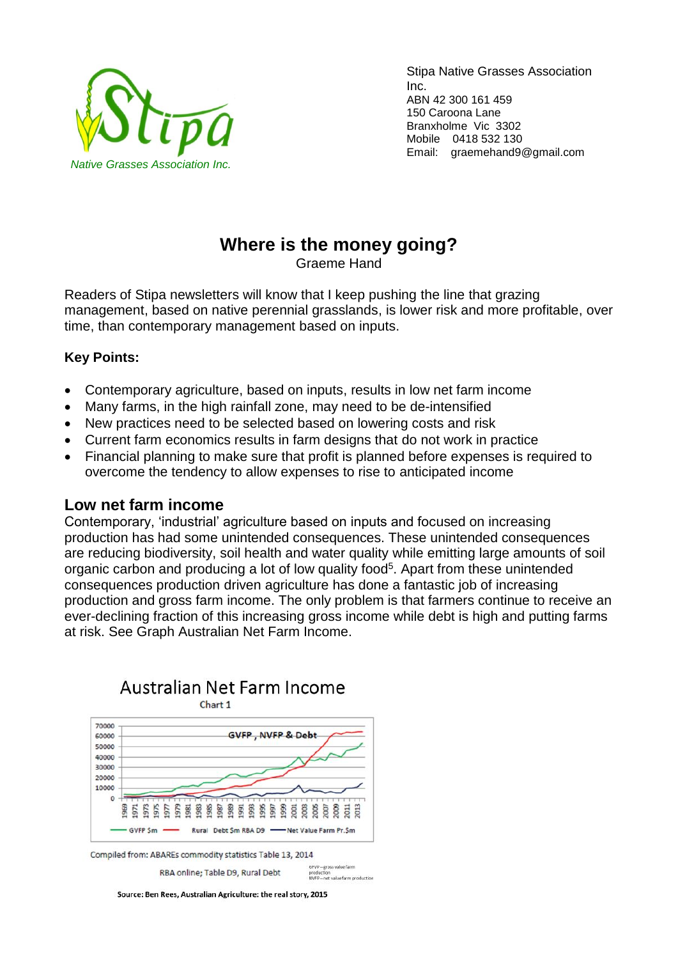

Stipa Native Grasses Association Inc. ABN 42 300 161 459 150 Caroona Lane Branxholme Vic 3302 Mobile 0418 532 130 Email: graemehand9@gmail.com

# **Where is the money going?**

Graeme Hand

Readers of Stipa newsletters will know that I keep pushing the line that grazing management, based on native perennial grasslands, is lower risk and more profitable, over time, than contemporary management based on inputs.

# **Key Points:**

- Contemporary agriculture, based on inputs, results in low net farm income
- Many farms, in the high rainfall zone, may need to be de-intensified
- New practices need to be selected based on lowering costs and risk
- Current farm economics results in farm designs that do not work in practice
- Financial planning to make sure that profit is planned before expenses is required to overcome the tendency to allow expenses to rise to anticipated income

### **Low net farm income**

Contemporary, 'industrial' agriculture based on inputs and focused on increasing production has had some unintended consequences. These unintended consequences are reducing biodiversity, soil health and water quality while emitting large amounts of soil organic carbon and producing a lot of low quality food<sup>5</sup>. Apart from these unintended consequences production driven agriculture has done a fantastic job of increasing production and gross farm income. The only problem is that farmers continue to receive an ever-declining fraction of this increasing gross income while debt is high and putting farms at risk. See Graph Australian Net Farm Income.



Source: Ben Rees, Australian Agriculture: the real story, 2015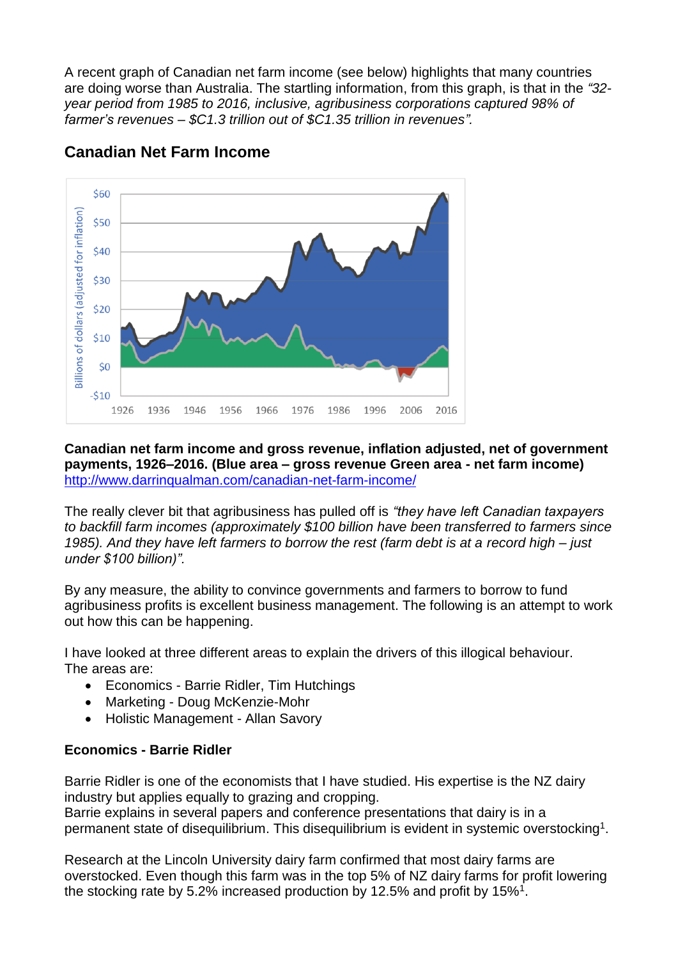A recent graph of Canadian net farm income (see below) highlights that many countries are doing worse than Australia. The startling information, from this graph, is that in the *"32 year period from 1985 to 2016, inclusive, agribusiness corporations captured 98% of farmer's revenues – \$C1.3 trillion out of \$C1.35 trillion in revenues".*



# **Canadian Net Farm Income**

#### **Canadian net farm income and gross revenue, inflation adjusted, net of government payments, 1926–2016. (Blue area – gross revenue Green area - net farm income)** <http://www.darrinqualman.com/canadian-net-farm-income/>

The really clever bit that agribusiness has pulled off is *"they have left Canadian taxpayers to backfill farm incomes (approximately \$100 billion have been transferred to farmers since 1985). And they have left farmers to borrow the rest (farm debt is at a record high – just under \$100 billion)".* 

By any measure, the ability to convince governments and farmers to borrow to fund agribusiness profits is excellent business management. The following is an attempt to work out how this can be happening.

I have looked at three different areas to explain the drivers of this illogical behaviour. The areas are:

- Economics Barrie Ridler, Tim Hutchings
- Marketing Doug McKenzie-Mohr
- Holistic Management Allan Savory

### **Economics - Barrie Ridler**

Barrie Ridler is one of the economists that I have studied. His expertise is the NZ dairy industry but applies equally to grazing and cropping.

Barrie explains in several papers and conference presentations that dairy is in a permanent state of disequilibrium. This disequilibrium is evident in systemic overstocking<sup>1</sup>.

Research at the Lincoln University dairy farm confirmed that most dairy farms are overstocked. Even though this farm was in the top 5% of NZ dairy farms for profit lowering the stocking rate by 5.2% increased production by 12.5% and profit by 15%<sup>1</sup>.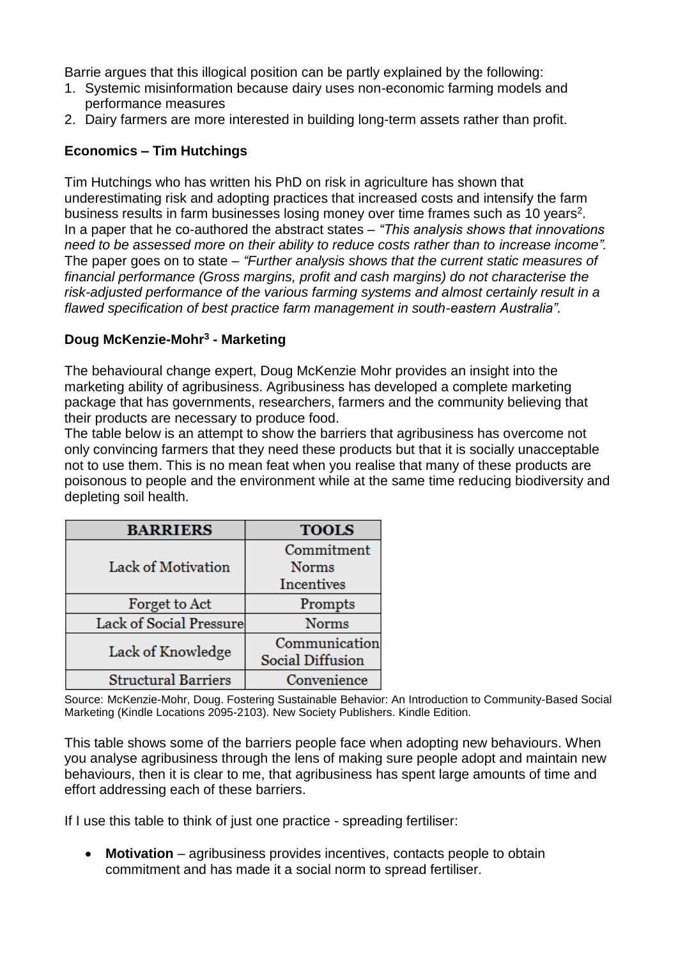Barrie argues that this illogical position can be partly explained by the following:

- 1. Systemic misinformation because dairy uses non-economic farming models and performance measures
- 2. Dairy farmers are more interested in building long-term assets rather than profit.

#### **Economics – Tim Hutchings**

Tim Hutchings who has written his PhD on risk in agriculture has shown that underestimating risk and adopting practices that increased costs and intensify the farm business results in farm businesses losing money over time frames such as 10 years<sup>2</sup>. In a paper that he co-authored the abstract states – *"This analysis shows that innovations need to be assessed more on their ability to reduce costs rather than to increase income".* The paper goes on to state – *"Further analysis shows that the current static measures of financial performance (Gross margins, profit and cash margins) do not characterise the risk-adjusted performance of the various farming systems and almost certainly result in a flawed specification of best practice farm management in south-eastern Australia".*

#### **Doug McKenzie-Mohr<sup>3</sup> - Marketing**

The behavioural change expert, Doug McKenzie Mohr provides an insight into the marketing ability of agribusiness. Agribusiness has developed a complete marketing package that has governments, researchers, farmers and the community believing that their products are necessary to produce food.

The table below is an attempt to show the barriers that agribusiness has overcome not only convincing farmers that they need these products but that it is socially unacceptable not to use them. This is no mean feat when you realise that many of these products are poisonous to people and the environment while at the same time reducing biodiversity and depleting soil health.

| <b>BARRIERS</b>            | <b>TOOLS</b>            |
|----------------------------|-------------------------|
| Lack of Motivation         | Commitment              |
|                            | <b>Norms</b>            |
|                            | <b>Incentives</b>       |
| Forget to Act              | Prompts                 |
| Lack of Social Pressure    | <b>Norms</b>            |
| Lack of Knowledge          | Communication           |
|                            | <b>Social Diffusion</b> |
| <b>Structural Barriers</b> | Convenience             |

Source: McKenzie-Mohr, Doug. Fostering Sustainable Behavior: An Introduction to Community-Based Social Marketing (Kindle Locations 2095-2103). New Society Publishers. Kindle Edition.

This table shows some of the barriers people face when adopting new behaviours. When you analyse agribusiness through the lens of making sure people adopt and maintain new behaviours, then it is clear to me, that agribusiness has spent large amounts of time and effort addressing each of these barriers.

If I use this table to think of just one practice - spreading fertiliser:

• **Motivation** – agribusiness provides incentives, contacts people to obtain commitment and has made it a social norm to spread fertiliser.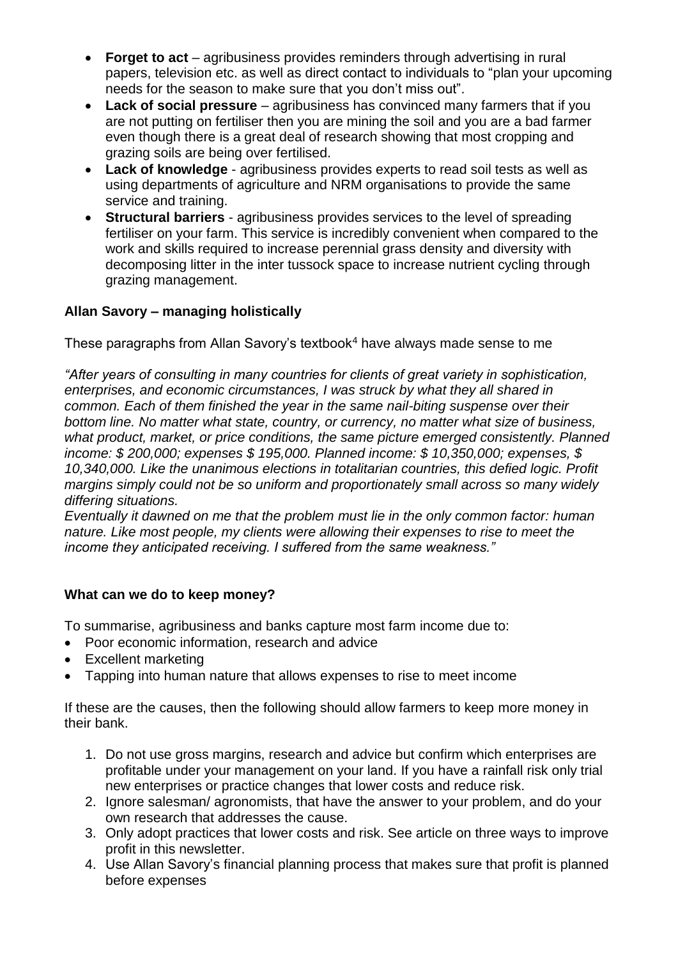- **Forget to act** agribusiness provides reminders through advertising in rural papers, television etc. as well as direct contact to individuals to "plan your upcoming needs for the season to make sure that you don't miss out".
- **Lack of social pressure** agribusiness has convinced many farmers that if you are not putting on fertiliser then you are mining the soil and you are a bad farmer even though there is a great deal of research showing that most cropping and grazing soils are being over fertilised.
- **Lack of knowledge** agribusiness provides experts to read soil tests as well as using departments of agriculture and NRM organisations to provide the same service and training.
- **Structural barriers** agribusiness provides services to the level of spreading fertiliser on your farm. This service is incredibly convenient when compared to the work and skills required to increase perennial grass density and diversity with decomposing litter in the inter tussock space to increase nutrient cycling through grazing management.

# **Allan Savory – managing holistically**

These paragraphs from Allan Savory's textbook<sup>4</sup> have always made sense to me

*"After years of consulting in many countries for clients of great variety in sophistication, enterprises, and economic circumstances, I was struck by what they all shared in common. Each of them finished the year in the same nail-biting suspense over their bottom line. No matter what state, country, or currency, no matter what size of business, what product, market, or price conditions, the same picture emerged consistently. Planned income: \$ 200,000; expenses \$ 195,000. Planned income: \$ 10,350,000; expenses, \$ 10,340,000. Like the unanimous elections in totalitarian countries, this defied logic. Profit margins simply could not be so uniform and proportionately small across so many widely differing situations.* 

*Eventually it dawned on me that the problem must lie in the only common factor: human nature. Like most people, my clients were allowing their expenses to rise to meet the income they anticipated receiving. I suffered from the same weakness."*

### **What can we do to keep money?**

To summarise, agribusiness and banks capture most farm income due to:

- Poor economic information, research and advice
- Excellent marketing
- Tapping into human nature that allows expenses to rise to meet income

If these are the causes, then the following should allow farmers to keep more money in their bank.

- 1. Do not use gross margins, research and advice but confirm which enterprises are profitable under your management on your land. If you have a rainfall risk only trial new enterprises or practice changes that lower costs and reduce risk.
- 2. Ignore salesman/ agronomists, that have the answer to your problem, and do your own research that addresses the cause.
- 3. Only adopt practices that lower costs and risk. See article on three ways to improve profit in this newsletter.
- 4. Use Allan Savory's financial planning process that makes sure that profit is planned before expenses